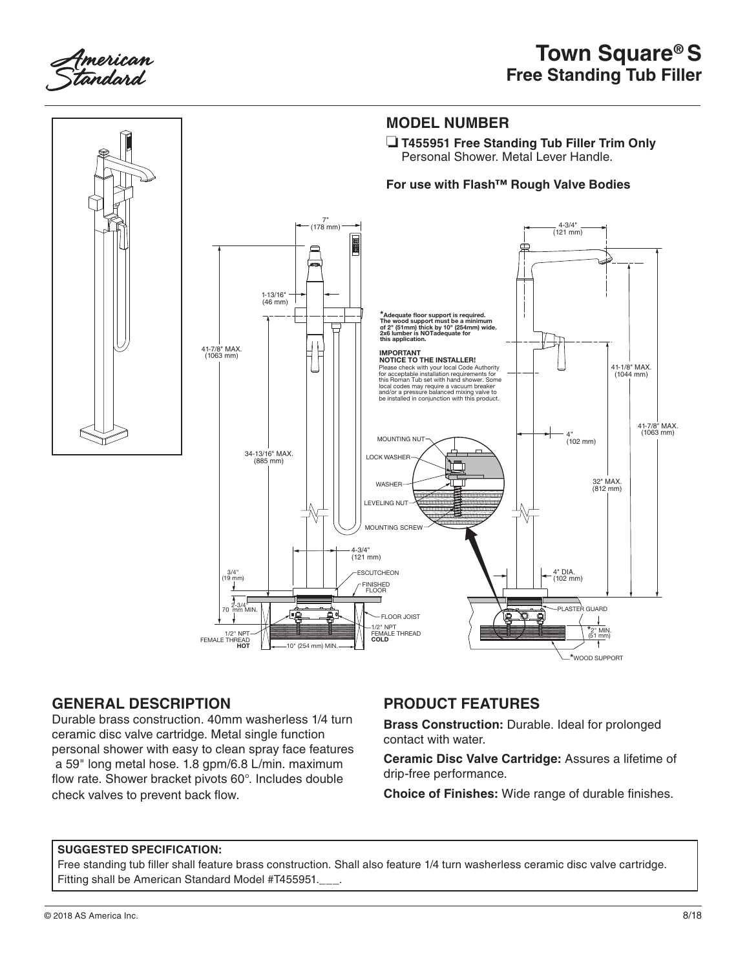



## **GENERAL DESCRIPTION**

Durable brass construction. 40mm washerless 1/4 turn ceramic disc valve cartridge. Metal single function personal shower with easy to clean spray face features a 59" long metal hose. 1.8 gpm/6.8 L/min. maximum flow rate. Shower bracket pivots 60°. Includes double check valves to prevent back flow.

# **PRODUCT FEATURES**

**Brass Construction:** Durable. Ideal for prolonged contact with water.

**Ceramic Disc Valve Cartridge:** Assures a lifetime of drip-free performance.

**Choice of Finishes:** Wide range of durable finishes.

### **SUGGESTED SPECIFICATION:**

Free standing tub filler shall feature brass construction. Shall also feature 1/4 turn washerless ceramic disc valve cartridge. Fitting shall be American Standard Model #T455951.